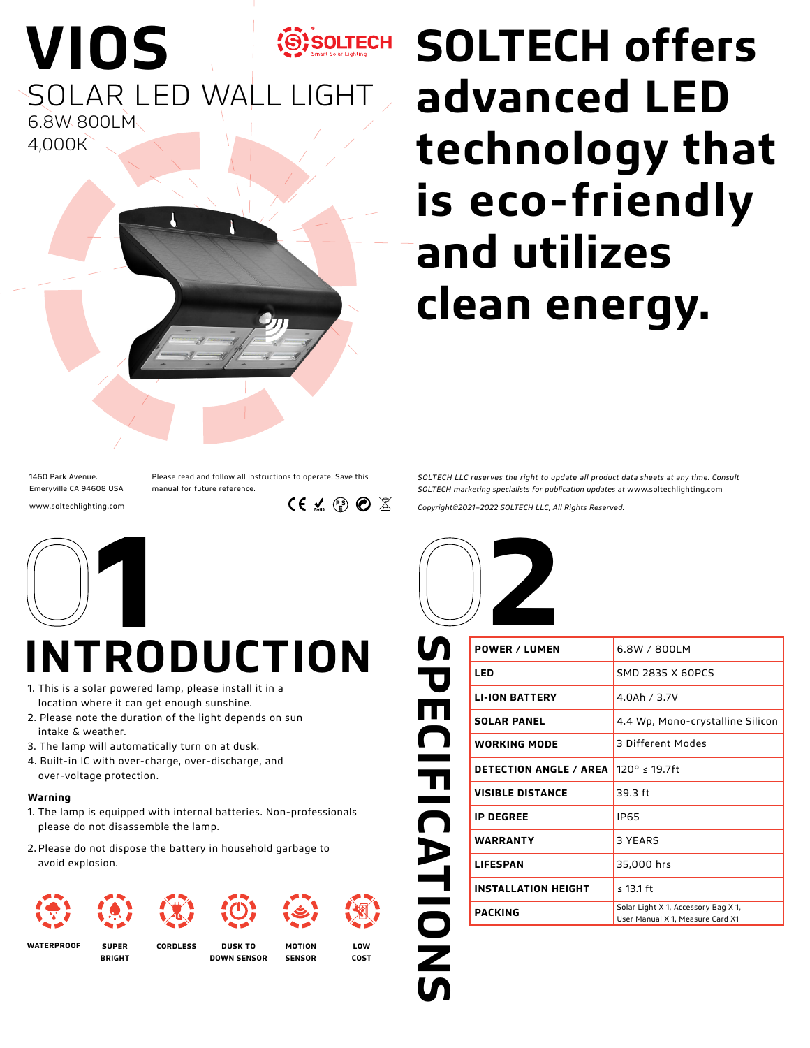

SOLAR LED WALL LIGHT 6.8W 800LM 4,000K

**VIOS**

### SOLTECH SOLTECH offers **advanced LED technology that is eco-friendly and utilizes clean energy.**

1460 Park Avenue. Emeryville CA 94608 USA www.soltechlighting.com Please read and follow all instructions to operate. Save this manual for future reference.

 $CE \times \mathbb{R} \otimes \mathbb{Z}$ 



## **INTRODUCTION**

- 1. This is a solar powered lamp, please install it in a location where it can get enough sunshine.
- 2. Please note the duration of the light depends on sun intake & weather.
- 3. The lamp will automatically turn on at dusk.
- 4. Built-in IC with over-charge, over-discharge, and over-voltage protection.

### **Warning**

- 1. The lamp is equipped with internal batteries. Non-professionals please do not disassemble the lamp.
- 2. Please do not dispose the battery in household garbage to avoid explosion.



**WATERPROOF SUPER** 

**BRIGHT**

**CORDLESS DUSK TO DOWN SENSOR**

**LOW COST**

**SENSOR**

*SOLTECH LLC reserves the right to update all product data sheets at any time. Consult SOLTECH marketing specialists for publication updates at* www.soltechlighting.com

*Copyright©2021–2022 SOLTECH LLC, All Rights Reserved.*



| U                    | <b>POWER / LUMEN</b>          | 6.8W / 800LM                                                            |
|----------------------|-------------------------------|-------------------------------------------------------------------------|
|                      | LED                           | SMD 2835 X 60PCS                                                        |
| P<br>F               | <b>LI-ION BATTERY</b>         | 4.0Ah / 3.7V                                                            |
|                      | <b>SOLAR PANEL</b>            | 4.4 Wp, Mono-crystalline Silicon                                        |
| $\bigcap$            | <b>WORKING MODE</b>           | 3 Different Modes                                                       |
|                      | <b>DETECTION ANGLE / AREA</b> | 120° ≤ 19.7ft                                                           |
| $\frac{\pi}{\Omega}$ | <b>VISIBLE DISTANCE</b>       | 39.3 ft                                                                 |
|                      | <b>IP DEGREE</b>              | <b>IP65</b>                                                             |
|                      | <b>WARRANTY</b>               | 3 YEARS                                                                 |
|                      | <b>LIFESPAN</b>               | 35,000 hrs                                                              |
|                      | <b>INSTALLATION HEIGHT</b>    | $\leq$ 13.1 ft                                                          |
|                      | <b>PACKING</b>                | Solar Light X 1, Accessory Bag X 1,<br>User Manual X 1, Measure Card X1 |
| <b>ATIONS</b>        |                               |                                                                         |